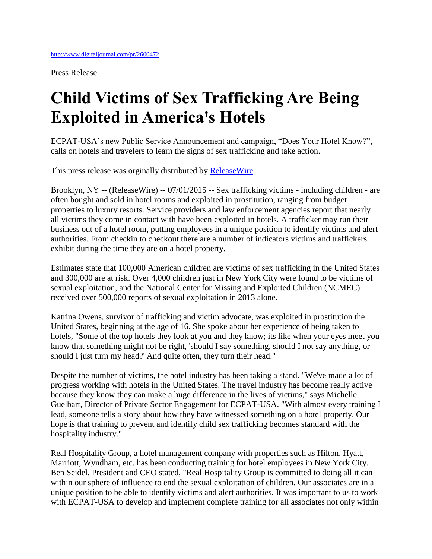Press Release

## **Child Victims of Sex Trafficking Are Being Exploited in America's Hotels**

ECPAT-USA's new Public Service Announcement and campaign, "Does Your Hotel Know?", calls on hotels and travelers to learn the signs of sex trafficking and take action.

This press release was orginally distributed by [ReleaseWire](http://www.releasewire.com/press-releases/release-606821.htm)

Brooklyn, NY -- (ReleaseWire) -- 07/01/2015 -- Sex trafficking victims - including children - are often bought and sold in hotel rooms and exploited in prostitution, ranging from budget properties to luxury resorts. Service providers and law enforcement agencies report that nearly all victims they come in contact with have been exploited in hotels. A trafficker may run their business out of a hotel room, putting employees in a unique position to identify victims and alert authorities. From checkin to checkout there are a number of indicators victims and traffickers exhibit during the time they are on a hotel property.

Estimates state that 100,000 American children are victims of sex trafficking in the United States and 300,000 are at risk. Over 4,000 children just in New York City were found to be victims of sexual exploitation, and the National Center for Missing and Exploited Children (NCMEC) received over 500,000 reports of sexual exploitation in 2013 alone.

Katrina Owens, survivor of trafficking and victim advocate, was exploited in prostitution the United States, beginning at the age of 16. She spoke about her experience of being taken to hotels, "Some of the top hotels they look at you and they know; its like when your eyes meet you know that something might not be right, 'should I say something, should I not say anything, or should I just turn my head?' And quite often, they turn their head."

Despite the number of victims, the hotel industry has been taking a stand. "We've made a lot of progress working with hotels in the United States. The travel industry has become really active because they know they can make a huge difference in the lives of victims," says Michelle Guelbart, Director of Private Sector Engagement for ECPAT-USA. "With almost every training I lead, someone tells a story about how they have witnessed something on a hotel property. Our hope is that training to prevent and identify child sex trafficking becomes standard with the hospitality industry."

Real Hospitality Group, a hotel management company with properties such as Hilton, Hyatt, Marriott, Wyndham, etc. has been conducting training for hotel employees in New York City. Ben Seidel, President and CEO stated, "Real Hospitality Group is committed to doing all it can within our sphere of influence to end the sexual exploitation of children. Our associates are in a unique position to be able to identify victims and alert authorities. It was important to us to work with ECPAT-USA to develop and implement complete training for all associates not only within